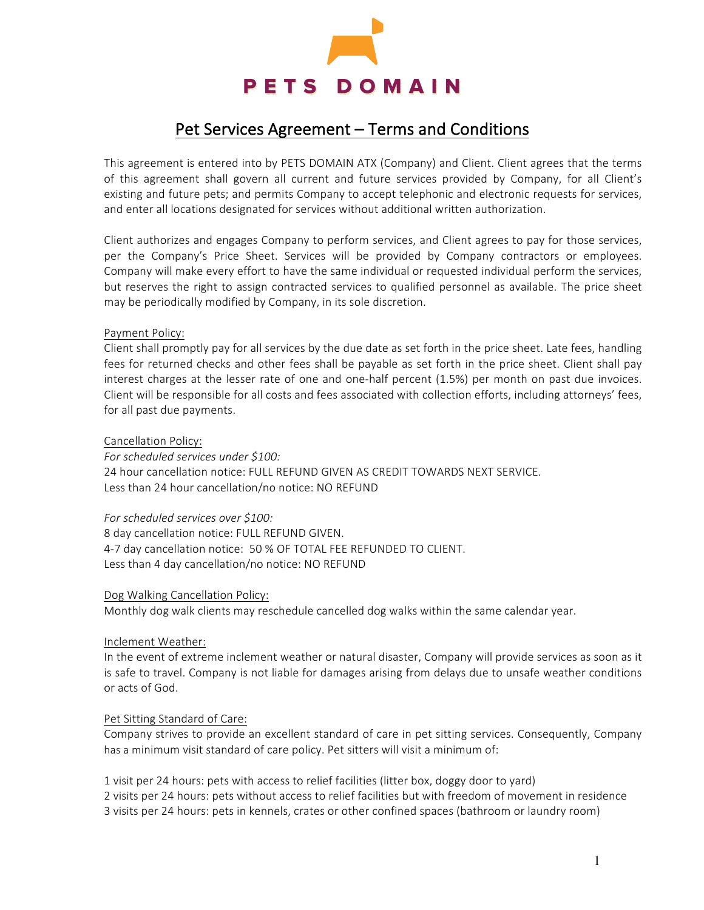

# Pet Services Agreement - Terms and Conditions

This agreement is entered into by PETS DOMAIN ATX (Company) and Client. Client agrees that the terms of this agreement shall govern all current and future services provided by Company, for all Client's existing and future pets; and permits Company to accept telephonic and electronic requests for services, and enter all locations designated for services without additional written authorization.

Client authorizes and engages Company to perform services, and Client agrees to pay for those services, per the Company's Price Sheet. Services will be provided by Company contractors or employees. Company will make every effort to have the same individual or requested individual perform the services, but reserves the right to assign contracted services to qualified personnel as available. The price sheet may be periodically modified by Company, in its sole discretion.

## Payment Policy:

Client shall promptly pay for all services by the due date as set forth in the price sheet. Late fees, handling fees for returned checks and other fees shall be payable as set forth in the price sheet. Client shall pay interest charges at the lesser rate of one and one-half percent (1.5%) per month on past due invoices. Client will be responsible for all costs and fees associated with collection efforts, including attorneys' fees, for all past due payments.

## Cancellation Policy:

For scheduled services under \$100: 24 hour cancellation notice: FULL REFUND GIVEN AS CREDIT TOWARDS NEXT SERVICE. Less than 24 hour cancellation/no notice: NO REFUND

## For scheduled services over \$100:

8 day cancellation notice: FULL REFUND GIVEN. 4-7 day cancellation notice: 50 % OF TOTAL FEE REFUNDED TO CLIENT. Less than 4 day cancellation/no notice: NO REFUND

## Dog Walking Cancellation Policy:

Monthly dog walk clients may reschedule cancelled dog walks within the same calendar year.

# Inclement Weather:

In the event of extreme inclement weather or natural disaster, Company will provide services as soon as it is safe to travel. Company is not liable for damages arising from delays due to unsafe weather conditions or acts of God.

# Pet Sitting Standard of Care:

Company strives to provide an excellent standard of care in pet sitting services. Consequently, Company has a minimum visit standard of care policy. Pet sitters will visit a minimum of:

1 visit per 24 hours: pets with access to relief facilities (litter box, doggy door to yard) 2 visits per 24 hours: pets without access to relief facilities but with freedom of movement in residence 3 visits per 24 hours: pets in kennels, crates or other confined spaces (bathroom or laundry room)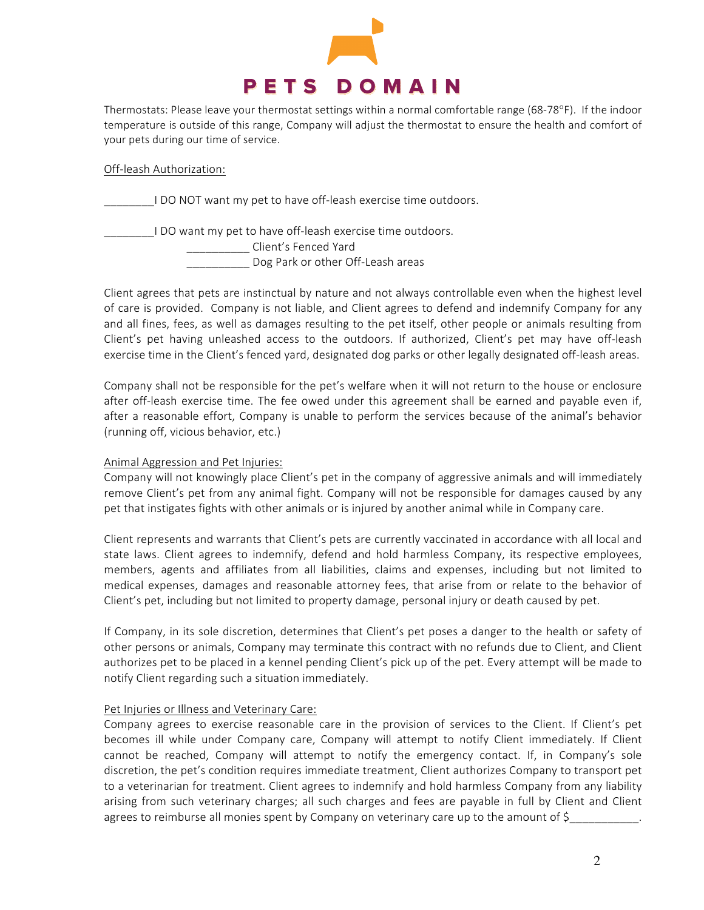

Thermostats: Please leave your thermostat settings within a normal comfortable range (68-78°F). If the indoor temperature is outside of this range, Company will adjust the thermostat to ensure the health and comfort of your pets during our time of service.

#### Off-leash Authorization:

\_\_\_\_\_\_\_\_I DO NOT want my pet to have off-leash exercise time outdoors.

I DO want my pet to have off-leash exercise time outdoors. \_\_\_\_\_\_\_\_\_\_ Client's Fenced Yard

**\_\_\_\_** Dog Park or other Off-Leash areas

Client agrees that pets are instinctual by nature and not always controllable even when the highest level of care is provided. Company is not liable, and Client agrees to defend and indemnify Company for any and all fines, fees, as well as damages resulting to the pet itself, other people or animals resulting from Client's pet having unleashed access to the outdoors. If authorized, Client's pet may have off-leash exercise time in the Client's fenced yard, designated dog parks or other legally designated off-leash areas.

Company shall not be responsible for the pet's welfare when it will not return to the house or enclosure after off-leash exercise time. The fee owed under this agreement shall be earned and payable even if, after a reasonable effort, Company is unable to perform the services because of the animal's behavior (running off, vicious behavior, etc.)

## Animal Aggression and Pet Injuries:

Company will not knowingly place Client's pet in the company of aggressive animals and will immediately remove Client's pet from any animal fight. Company will not be responsible for damages caused by any pet that instigates fights with other animals or is injured by another animal while in Company care.

Client represents and warrants that Client's pets are currently vaccinated in accordance with all local and state laws. Client agrees to indemnify, defend and hold harmless Company, its respective employees, members, agents and affiliates from all liabilities, claims and expenses, including but not limited to medical expenses, damages and reasonable attorney fees, that arise from or relate to the behavior of Client's pet, including but not limited to property damage, personal injury or death caused by pet.

If Company, in its sole discretion, determines that Client's pet poses a danger to the health or safety of other persons or animals, Company may terminate this contract with no refunds due to Client, and Client authorizes pet to be placed in a kennel pending Client's pick up of the pet. Every attempt will be made to notify Client regarding such a situation immediately.

## Pet Injuries or Illness and Veterinary Care:

Company agrees to exercise reasonable care in the provision of services to the Client. If Client's pet becomes ill while under Company care, Company will attempt to notify Client immediately. If Client cannot be reached, Company will attempt to notify the emergency contact. If, in Company's sole discretion, the pet's condition requires immediate treatment, Client authorizes Company to transport pet to a veterinarian for treatment. Client agrees to indemnify and hold harmless Company from any liability arising from such veterinary charges; all such charges and fees are payable in full by Client and Client agrees to reimburse all monies spent by Company on veterinary care up to the amount of  $\zeta$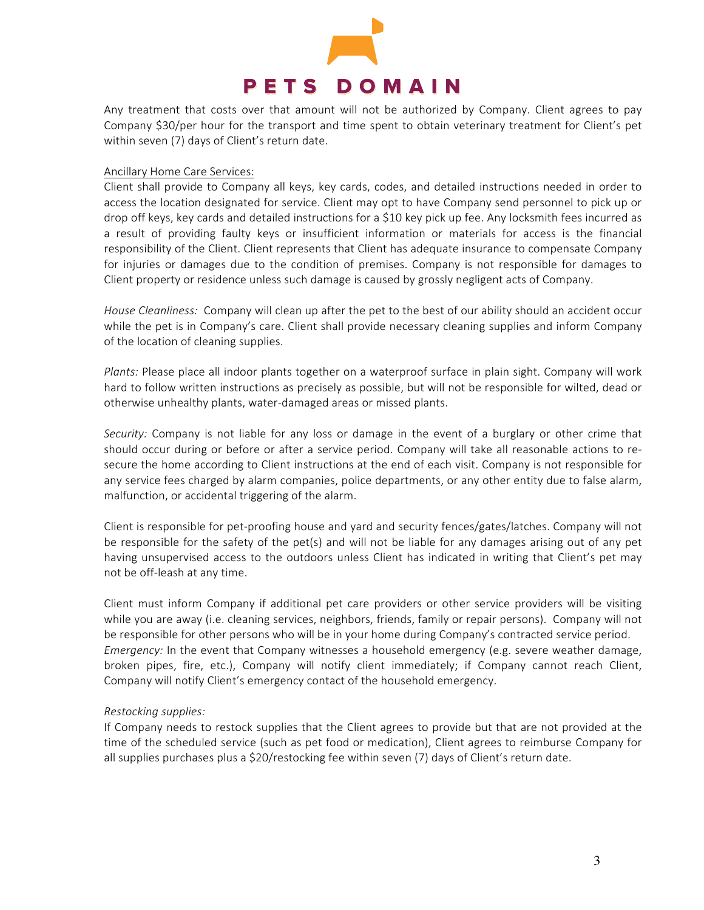

Any treatment that costs over that amount will not be authorized by Company. Client agrees to pay Company \$30/per hour for the transport and time spent to obtain veterinary treatment for Client's pet within seven (7) days of Client's return date.

#### Ancillary Home Care Services:

Client shall provide to Company all keys, key cards, codes, and detailed instructions needed in order to access the location designated for service. Client may opt to have Company send personnel to pick up or drop off keys, key cards and detailed instructions for a \$10 key pick up fee. Any locksmith fees incurred as a result of providing faulty keys or insufficient information or materials for access is the financial responsibility of the Client. Client represents that Client has adequate insurance to compensate Company for injuries or damages due to the condition of premises. Company is not responsible for damages to Client property or residence unless such damage is caused by grossly negligent acts of Company.

*House Cleanliness:* Company will clean up after the pet to the best of our ability should an accident occur while the pet is in Company's care. Client shall provide necessary cleaning supplies and inform Company of the location of cleaning supplies.

Plants: Please place all indoor plants together on a waterproof surface in plain sight. Company will work hard to follow written instructions as precisely as possible, but will not be responsible for wilted, dead or otherwise unhealthy plants, water-damaged areas or missed plants.

*Security:* Company is not liable for any loss or damage in the event of a burglary or other crime that should occur during or before or after a service period. Company will take all reasonable actions to resecure the home according to Client instructions at the end of each visit. Company is not responsible for any service fees charged by alarm companies, police departments, or any other entity due to false alarm, malfunction, or accidental triggering of the alarm.

Client is responsible for pet-proofing house and yard and security fences/gates/latches. Company will not be responsible for the safety of the pet(s) and will not be liable for any damages arising out of any pet having unsupervised access to the outdoors unless Client has indicated in writing that Client's pet may not be off-leash at any time.

Client must inform Company if additional pet care providers or other service providers will be visiting while you are away (i.e. cleaning services, neighbors, friends, family or repair persons). Company will not be responsible for other persons who will be in your home during Company's contracted service period. *Emergency:* In the event that Company witnesses a household emergency (e.g. severe weather damage, broken pipes, fire, etc.), Company will notify client immediately; if Company cannot reach Client, Company will notify Client's emergency contact of the household emergency.

## *Restocking supplies:*

If Company needs to restock supplies that the Client agrees to provide but that are not provided at the time of the scheduled service (such as pet food or medication), Client agrees to reimburse Company for all supplies purchases plus a \$20/restocking fee within seven (7) days of Client's return date.